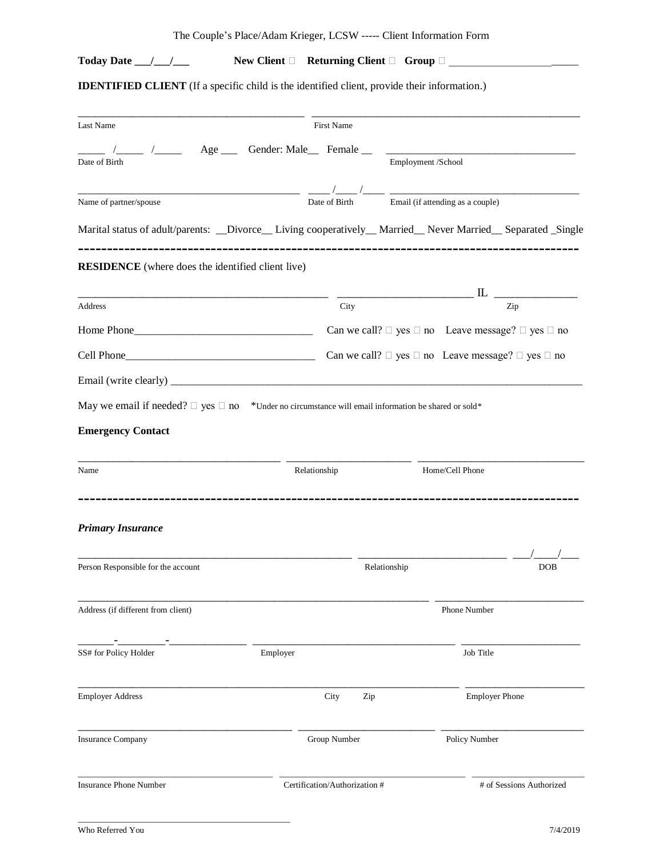|  | The Couple's Place/Adam Krieger, LCSW ----- Client Information Form |  |  |  |  |  |
|--|---------------------------------------------------------------------|--|--|--|--|--|
|--|---------------------------------------------------------------------|--|--|--|--|--|

# **Today Date \_\_\_/\_\_\_/\_\_\_\_\_\_ New Client** □ Returning Client □ Group □ \_\_\_\_\_\_\_\_\_\_\_\_\_\_\_\_\_\_\_

**IDENTIFIED CLIENT** (If a specific child is the identified client, provide their information.)

| Last Name                                                                                                                                                                                                                                                                                                                            | First Name    |                                                                                                                 |
|--------------------------------------------------------------------------------------------------------------------------------------------------------------------------------------------------------------------------------------------------------------------------------------------------------------------------------------|---------------|-----------------------------------------------------------------------------------------------------------------|
| $\frac{1}{2}$ $\frac{1}{2}$ $\frac{1}{2}$ $\frac{1}{2}$ $\frac{1}{2}$ $\frac{1}{2}$ $\frac{1}{2}$ $\frac{1}{2}$ $\frac{1}{2}$ $\frac{1}{2}$ $\frac{1}{2}$ $\frac{1}{2}$ $\frac{1}{2}$ $\frac{1}{2}$ $\frac{1}{2}$ $\frac{1}{2}$ $\frac{1}{2}$ $\frac{1}{2}$ $\frac{1}{2}$ $\frac{1}{2}$ $\frac{1}{2}$ $\frac{1}{2}$<br>Date of Birth |               | Employment /School                                                                                              |
| Name of partner/spouse                                                                                                                                                                                                                                                                                                               | Date of Birth | Email (if attending as a couple)                                                                                |
|                                                                                                                                                                                                                                                                                                                                      |               | Marital status of adult/parents: __Divorce__ Living cooperatively__ Married__ Never Married__ Separated _Single |
| <b>RESIDENCE</b> (where does the identified client live)                                                                                                                                                                                                                                                                             |               |                                                                                                                 |
|                                                                                                                                                                                                                                                                                                                                      |               |                                                                                                                 |
| Address                                                                                                                                                                                                                                                                                                                              | City          | Zip                                                                                                             |
|                                                                                                                                                                                                                                                                                                                                      |               | Can we call? $\Box$ yes $\Box$ no Leave message? $\Box$ yes $\Box$ no                                           |
|                                                                                                                                                                                                                                                                                                                                      |               | Can we call? $\Box$ yes $\Box$ no Leave message? $\Box$ yes $\Box$ no                                           |
|                                                                                                                                                                                                                                                                                                                                      |               |                                                                                                                 |
| May we email if needed? $\Box$ yes $\Box$ no *Under no circumstance will email information be shared or sold*                                                                                                                                                                                                                        |               |                                                                                                                 |
|                                                                                                                                                                                                                                                                                                                                      |               |                                                                                                                 |
| <b>Emergency Contact</b>                                                                                                                                                                                                                                                                                                             |               |                                                                                                                 |
| Name                                                                                                                                                                                                                                                                                                                                 | Relationship  | Home/Cell Phone                                                                                                 |
|                                                                                                                                                                                                                                                                                                                                      |               |                                                                                                                 |
| <b>Primary Insurance</b>                                                                                                                                                                                                                                                                                                             |               |                                                                                                                 |
|                                                                                                                                                                                                                                                                                                                                      |               |                                                                                                                 |
| Person Responsible for the account                                                                                                                                                                                                                                                                                                   |               | Relationship<br><b>DOB</b>                                                                                      |
| Address (if different from client)                                                                                                                                                                                                                                                                                                   |               | Phone Number                                                                                                    |
| SS# for Policy Holder                                                                                                                                                                                                                                                                                                                | Employer      | Job Title                                                                                                       |
| <b>Employer Address</b>                                                                                                                                                                                                                                                                                                              | City<br>Zip   | <b>Employer Phone</b>                                                                                           |
| <b>Insurance Company</b>                                                                                                                                                                                                                                                                                                             | Group Number  | Policy Number                                                                                                   |
|                                                                                                                                                                                                                                                                                                                                      |               |                                                                                                                 |

\_\_\_\_\_\_\_\_\_\_\_\_\_\_\_\_\_\_\_\_\_\_\_\_\_\_\_\_\_\_\_\_\_\_\_\_\_\_\_\_\_\_\_\_\_\_\_\_\_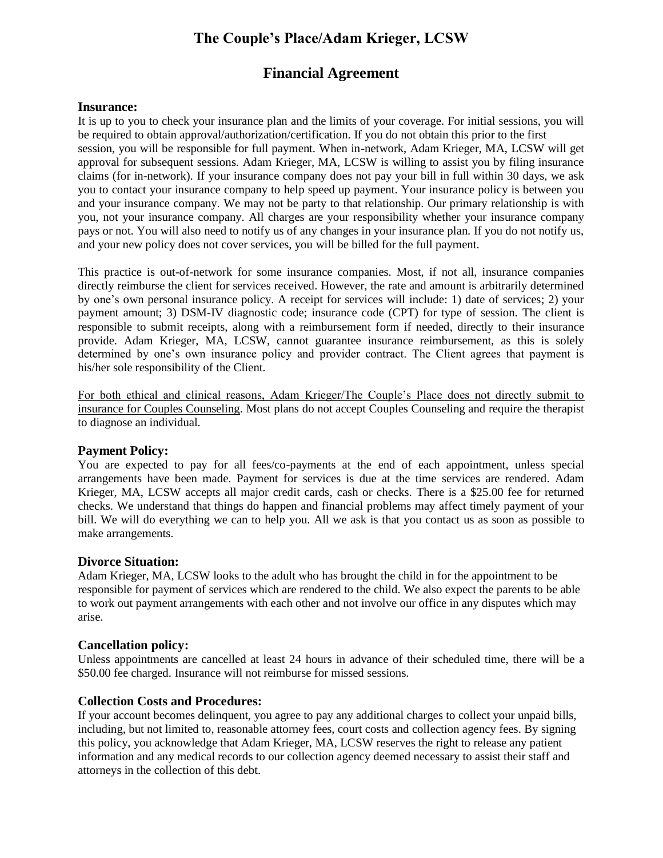# **The Couple's Place/Adam Krieger, LCSW**

# **Financial Agreement**

## **Insurance:**

It is up to you to check your insurance plan and the limits of your coverage. For initial sessions, you will be required to obtain approval/authorization/certification. If you do not obtain this prior to the first session, you will be responsible for full payment. When in-network, Adam Krieger, MA, LCSW will get approval for subsequent sessions. Adam Krieger, MA, LCSW is willing to assist you by filing insurance claims (for in-network). If your insurance company does not pay your bill in full within 30 days, we ask you to contact your insurance company to help speed up payment. Your insurance policy is between you and your insurance company. We may not be party to that relationship. Our primary relationship is with you, not your insurance company. All charges are your responsibility whether your insurance company pays or not. You will also need to notify us of any changes in your insurance plan. If you do not notify us, and your new policy does not cover services, you will be billed for the full payment.

This practice is out-of-network for some insurance companies. Most, if not all, insurance companies directly reimburse the client for services received. However, the rate and amount is arbitrarily determined by one's own personal insurance policy. A receipt for services will include: 1) date of services; 2) your payment amount; 3) DSM-IV diagnostic code; insurance code (CPT) for type of session. The client is responsible to submit receipts, along with a reimbursement form if needed, directly to their insurance provide. Adam Krieger, MA, LCSW, cannot guarantee insurance reimbursement, as this is solely determined by one's own insurance policy and provider contract. The Client agrees that payment is his/her sole responsibility of the Client.

For both ethical and clinical reasons, Adam Krieger/The Couple's Place does not directly submit to insurance for Couples Counseling. Most plans do not accept Couples Counseling and require the therapist to diagnose an individual.

## **Payment Policy:**

You are expected to pay for all fees/co-payments at the end of each appointment, unless special arrangements have been made. Payment for services is due at the time services are rendered. Adam Krieger, MA, LCSW accepts all major credit cards, cash or checks. There is a \$25.00 fee for returned checks. We understand that things do happen and financial problems may affect timely payment of your bill. We will do everything we can to help you. All we ask is that you contact us as soon as possible to make arrangements.

## **Divorce Situation:**

Adam Krieger, MA, LCSW looks to the adult who has brought the child in for the appointment to be responsible for payment of services which are rendered to the child. We also expect the parents to be able to work out payment arrangements with each other and not involve our office in any disputes which may arise.

### **Cancellation policy:**

Unless appointments are cancelled at least 24 hours in advance of their scheduled time, there will be a \$50.00 fee charged. Insurance will not reimburse for missed sessions.

## **Collection Costs and Procedures:**

If your account becomes delinquent, you agree to pay any additional charges to collect your unpaid bills, including, but not limited to, reasonable attorney fees, court costs and collection agency fees. By signing this policy, you acknowledge that Adam Krieger, MA, LCSW reserves the right to release any patient information and any medical records to our collection agency deemed necessary to assist their staff and attorneys in the collection of this debt.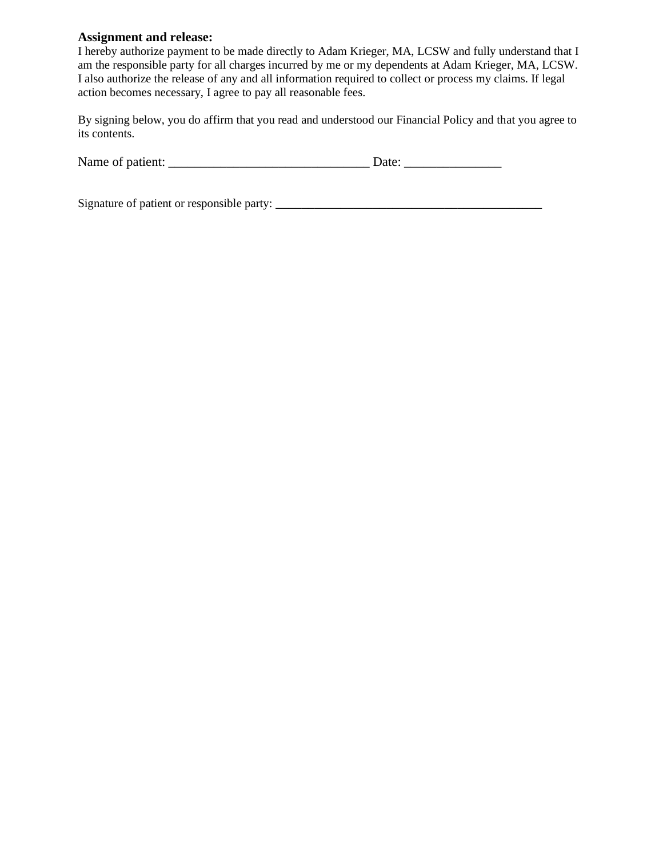## **Assignment and release:**

I hereby authorize payment to be made directly to Adam Krieger, MA, LCSW and fully understand that I am the responsible party for all charges incurred by me or my dependents at Adam Krieger, MA, LCSW. I also authorize the release of any and all information required to collect or process my claims. If legal action becomes necessary, I agree to pay all reasonable fees.

By signing below, you do affirm that you read and understood our Financial Policy and that you agree to its contents.

| Name of patient: |  |
|------------------|--|
|------------------|--|

Signature of patient or responsible party: \_\_\_\_\_\_\_\_\_\_\_\_\_\_\_\_\_\_\_\_\_\_\_\_\_\_\_\_\_\_\_\_\_\_\_\_\_\_\_\_\_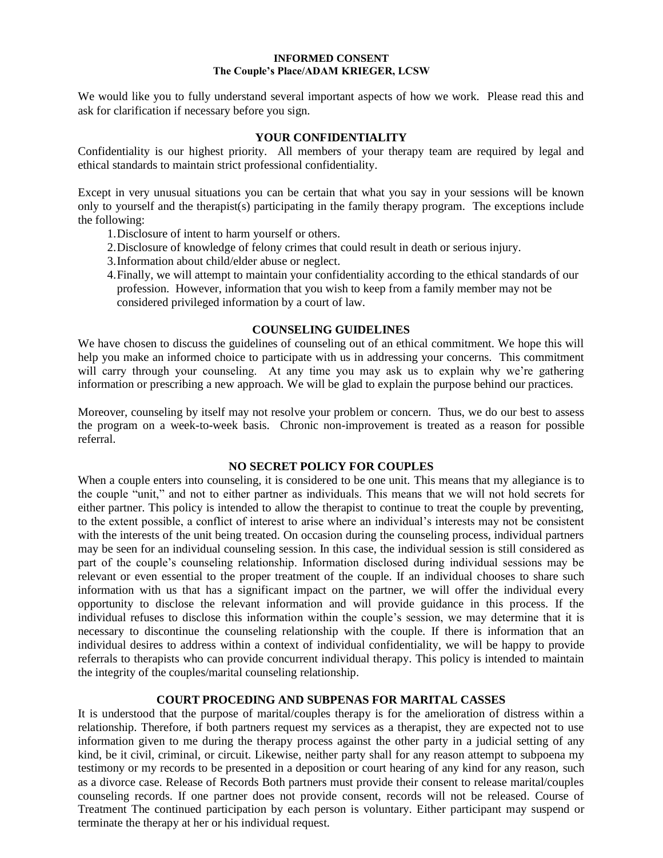#### **INFORMED CONSENT The Couple's Place/ADAM KRIEGER, LCSW**

We would like you to fully understand several important aspects of how we work. Please read this and ask for clarification if necessary before you sign.

## **YOUR CONFIDENTIALITY**

Confidentiality is our highest priority. All members of your therapy team are required by legal and ethical standards to maintain strict professional confidentiality.

Except in very unusual situations you can be certain that what you say in your sessions will be known only to yourself and the therapist(s) participating in the family therapy program. The exceptions include the following:

- 1.Disclosure of intent to harm yourself or others.
- 2.Disclosure of knowledge of felony crimes that could result in death or serious injury.
- 3.Information about child/elder abuse or neglect.
- 4.Finally, we will attempt to maintain your confidentiality according to the ethical standards of our profession. However, information that you wish to keep from a family member may not be considered privileged information by a court of law.

### **COUNSELING GUIDELINES**

We have chosen to discuss the guidelines of counseling out of an ethical commitment. We hope this will help you make an informed choice to participate with us in addressing your concerns. This commitment will carry through your counseling. At any time you may ask us to explain why we're gathering information or prescribing a new approach. We will be glad to explain the purpose behind our practices.

Moreover, counseling by itself may not resolve your problem or concern. Thus, we do our best to assess the program on a week-to-week basis. Chronic non-improvement is treated as a reason for possible referral.

### **NO SECRET POLICY FOR COUPLES**

When a couple enters into counseling, it is considered to be one unit. This means that my allegiance is to the couple "unit," and not to either partner as individuals. This means that we will not hold secrets for either partner. This policy is intended to allow the therapist to continue to treat the couple by preventing, to the extent possible, a conflict of interest to arise where an individual's interests may not be consistent with the interests of the unit being treated. On occasion during the counseling process, individual partners may be seen for an individual counseling session. In this case, the individual session is still considered as part of the couple's counseling relationship. Information disclosed during individual sessions may be relevant or even essential to the proper treatment of the couple. If an individual chooses to share such information with us that has a significant impact on the partner, we will offer the individual every opportunity to disclose the relevant information and will provide guidance in this process. If the individual refuses to disclose this information within the couple's session, we may determine that it is necessary to discontinue the counseling relationship with the couple. If there is information that an individual desires to address within a context of individual confidentiality, we will be happy to provide referrals to therapists who can provide concurrent individual therapy. This policy is intended to maintain the integrity of the couples/marital counseling relationship.

## **COURT PROCEDING AND SUBPENAS FOR MARITAL CASSES**

It is understood that the purpose of marital/couples therapy is for the amelioration of distress within a relationship. Therefore, if both partners request my services as a therapist, they are expected not to use information given to me during the therapy process against the other party in a judicial setting of any kind, be it civil, criminal, or circuit. Likewise, neither party shall for any reason attempt to subpoena my testimony or my records to be presented in a deposition or court hearing of any kind for any reason, such as a divorce case. Release of Records Both partners must provide their consent to release marital/couples counseling records. If one partner does not provide consent, records will not be released. Course of Treatment The continued participation by each person is voluntary. Either participant may suspend or terminate the therapy at her or his individual request.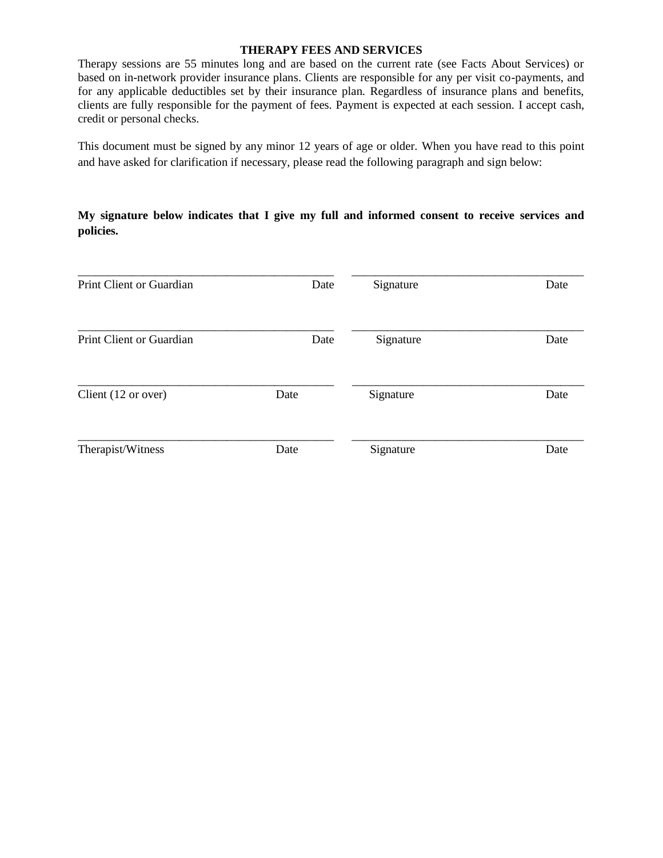## **THERAPY FEES AND SERVICES**

Therapy sessions are 55 minutes long and are based on the current rate (see Facts About Services) or based on in-network provider insurance plans. Clients are responsible for any per visit co-payments, and for any applicable deductibles set by their insurance plan. Regardless of insurance plans and benefits, clients are fully responsible for the payment of fees. Payment is expected at each session. I accept cash, credit or personal checks.

This document must be signed by any minor 12 years of age or older. When you have read to this point and have asked for clarification if necessary, please read the following paragraph and sign below:

## **My signature below indicates that I give my full and informed consent to receive services and policies.**

| Print Client or Guardian | Date | Signature | Date |
|--------------------------|------|-----------|------|
| Print Client or Guardian | Date | Signature | Date |
| Client (12 or over)      | Date | Signature | Date |
| Therapist/Witness        | Date | Signature | Date |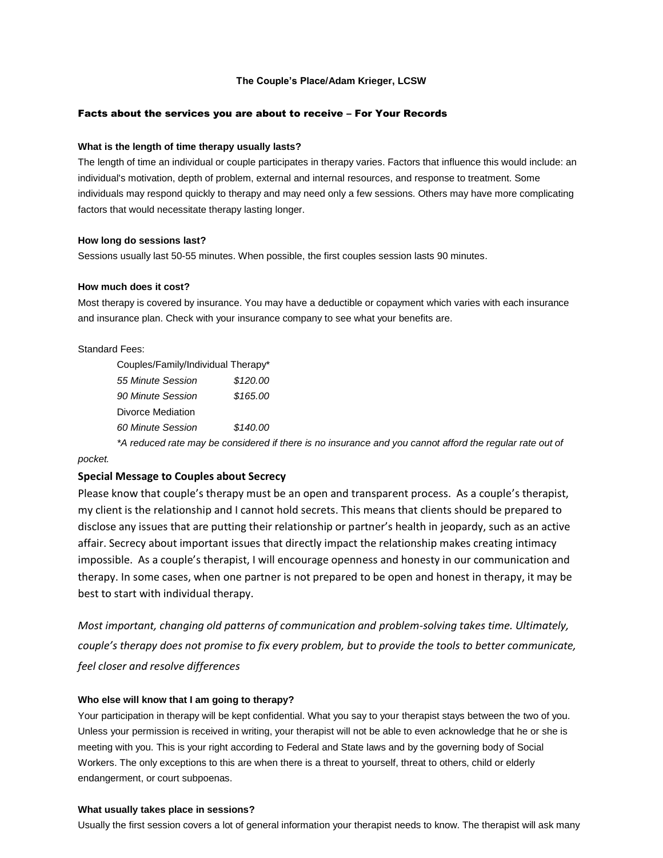#### **The Couple's Place/Adam Krieger, LCSW**

#### Facts about the services you are about to receive – For Your Records

#### **What is the length of time therapy usually lasts?**

The length of time an individual or couple participates in therapy varies. Factors that influence this would include: an individual's motivation, depth of problem, external and internal resources, and response to treatment. Some individuals may respond quickly to therapy and may need only a few sessions. Others may have more complicating factors that would necessitate therapy lasting longer.

#### **How long do sessions last?**

Sessions usually last 50-55 minutes. When possible, the first couples session lasts 90 minutes.

#### **How much does it cost?**

Most therapy is covered by insurance. You may have a deductible or copayment which varies with each insurance and insurance plan. Check with your insurance company to see what your benefits are.

#### Standard Fees:

| Couples/Family/Individual Therapy* |          |
|------------------------------------|----------|
| 55 Minute Session                  | \$120.00 |
| 90 Minute Session                  | \$165.00 |
| Divorce Mediation                  |          |
| 60 Minute Session                  | \$140.00 |
|                                    |          |

*\*A reduced rate may be considered if there is no insurance and you cannot afford the regular rate out of pocket.*

# **Special Message to Couples about Secrecy**

Please know that couple's therapy must be an open and transparent process. As a couple's therapist, my client is the relationship and I cannot hold secrets. This means that clients should be prepared to disclose any issues that are putting their relationship or partner's health in jeopardy, such as an active affair. Secrecy about important issues that directly impact the relationship makes creating intimacy impossible. As a couple's therapist, I will encourage openness and honesty in our communication and therapy. In some cases, when one partner is not prepared to be open and honest in therapy, it may be best to start with individual therapy.

*Most important, changing old patterns of communication and problem-solving takes time. Ultimately, couple's therapy does not promise to fix every problem, but to provide the tools to better communicate, feel closer and resolve differences*

#### **Who else will know that I am going to therapy?**

Your participation in therapy will be kept confidential. What you say to your therapist stays between the two of you. Unless your permission is received in writing, your therapist will not be able to even acknowledge that he or she is meeting with you. This is your right according to Federal and State laws and by the governing body of Social Workers. The only exceptions to this are when there is a threat to yourself, threat to others, child or elderly endangerment, or court subpoenas.

#### **What usually takes place in sessions?**

Usually the first session covers a lot of general information your therapist needs to know. The therapist will ask many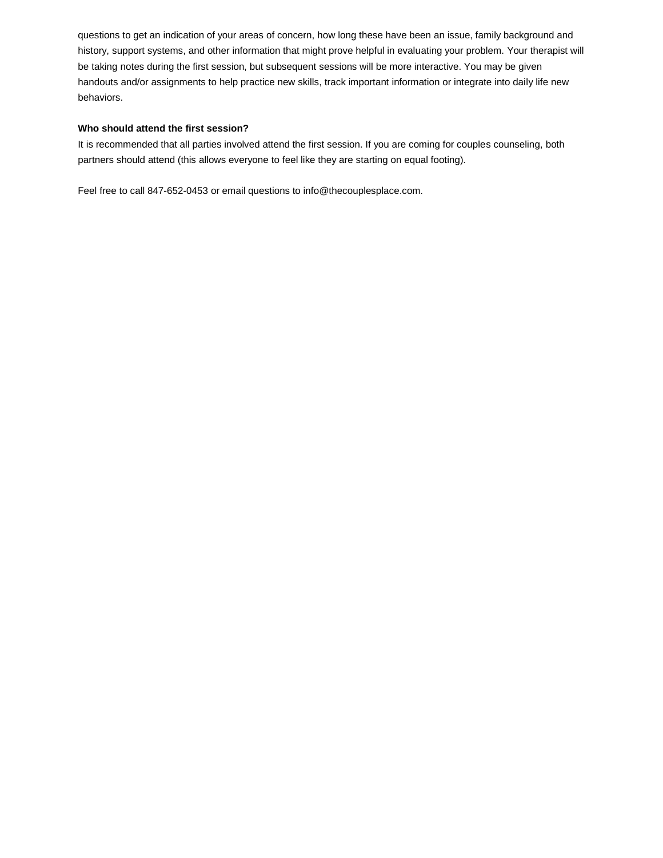questions to get an indication of your areas of concern, how long these have been an issue, family background and history, support systems, and other information that might prove helpful in evaluating your problem. Your therapist will be taking notes during the first session, but subsequent sessions will be more interactive. You may be given handouts and/or assignments to help practice new skills, track important information or integrate into daily life new behaviors.

#### **Who should attend the first session?**

It is recommended that all parties involved attend the first session. If you are coming for couples counseling, both partners should attend (this allows everyone to feel like they are starting on equal footing).

Feel free to call 847-652-0453 or email questions to info@thecouplesplace.com.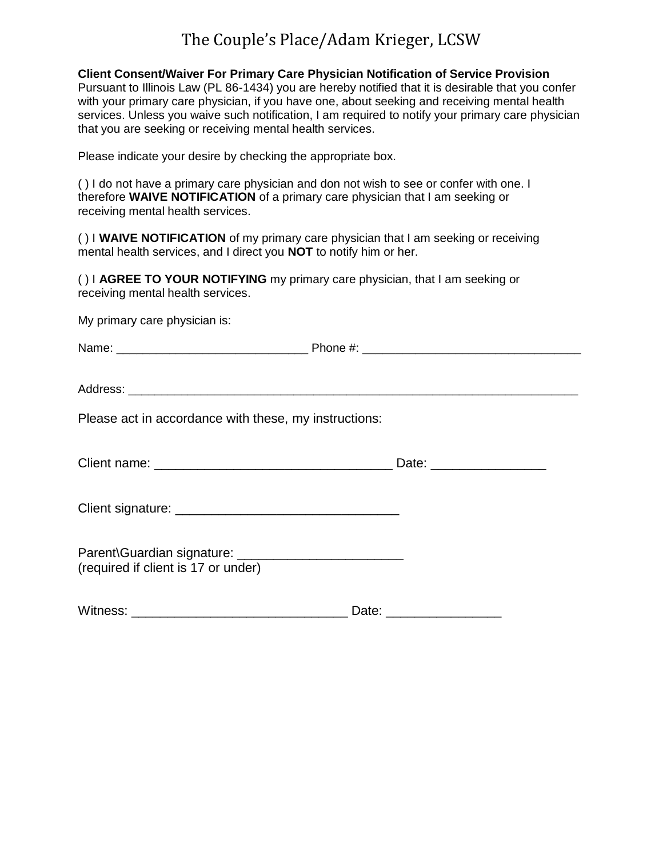# The Couple's Place/Adam Krieger, LCSW

## **Client Consent/Waiver For Primary Care Physician Notification of Service Provision**

Pursuant to Illinois Law (PL 86-1434) you are hereby notified that it is desirable that you confer with your primary care physician, if you have one, about seeking and receiving mental health services. Unless you waive such notification, I am required to notify your primary care physician that you are seeking or receiving mental health services.

Please indicate your desire by checking the appropriate box.

( ) I do not have a primary care physician and don not wish to see or confer with one. I therefore **WAIVE NOTIFICATION** of a primary care physician that I am seeking or receiving mental health services.

( ) I **WAIVE NOTIFICATION** of my primary care physician that I am seeking or receiving mental health services, and I direct you **NOT** to notify him or her.

( ) I **AGREE TO YOUR NOTIFYING** my primary care physician, that I am seeking or receiving mental health services.

My primary care physician is:

| Please act in accordance with these, my instructions:                                                          |                          |
|----------------------------------------------------------------------------------------------------------------|--------------------------|
| Client name: William Client Client Client Client Client Client Client Client Client Client Client Client Clien | Date: __________________ |

Client signature: \_\_\_\_\_\_\_\_\_\_\_\_\_\_\_\_\_\_\_\_\_\_\_\_\_\_\_\_\_\_\_

| Parent\Guardian signature:          |  |
|-------------------------------------|--|
| (required if client is 17 or under) |  |

Witness: \_\_\_\_\_\_\_\_\_\_\_\_\_\_\_\_\_\_\_\_\_\_\_\_\_\_\_\_\_\_ Date: \_\_\_\_\_\_\_\_\_\_\_\_\_\_\_\_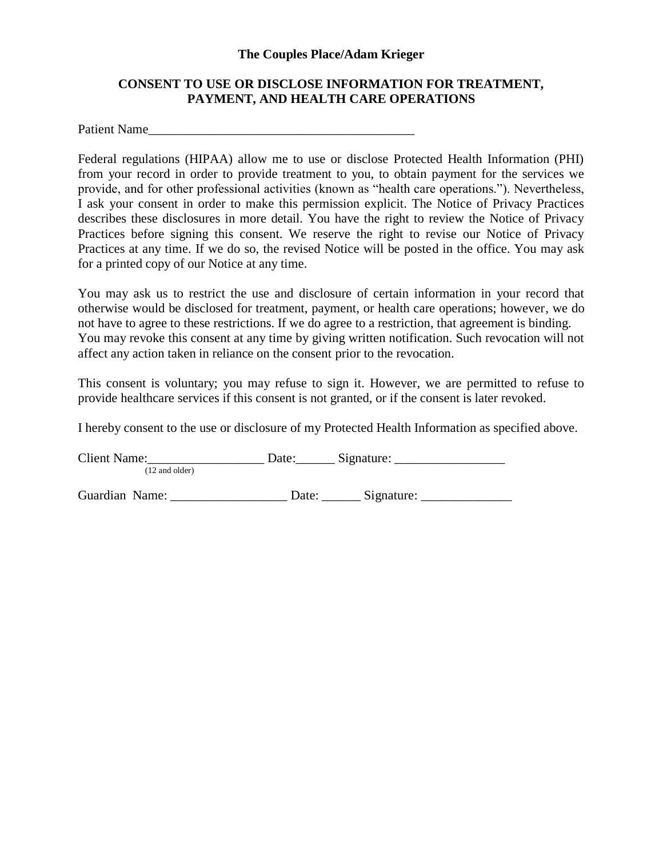## **The Couples Place/Adam Krieger**

## **CONSENT TO USE OR DISCLOSE INFORMATION FOR TREATMENT, PAYMENT, AND HEALTH CARE OPERATIONS**

Patient Name

Federal regulations (HIPAA) allow me to use or disclose Protected Health Information (PHI) from your record in order to provide treatment to you, to obtain payment for the services we provide, and for other professional activities (known as "health care operations."). Nevertheless, I ask your consent in order to make this permission explicit. The Notice of Privacy Practices describes these disclosures in more detail. You have the right to review the Notice of Privacy Practices before signing this consent. We reserve the right to revise our Notice of Privacy Practices at any time. If we do so, the revised Notice will be posted in the office. You may ask for a printed copy of our Notice at any time.

You may ask us to restrict the use and disclosure of certain information in your record that otherwise would be disclosed for treatment, payment, or health care operations; however, we do not have to agree to these restrictions. If we do agree to a restriction, that agreement is binding. You may revoke this consent at any time by giving written notification. Such revocation will not affect any action taken in reliance on the consent prior to the revocation.

This consent is voluntary; you may refuse to sign it. However, we are permitted to refuse to provide healthcare services if this consent is not granted, or if the consent is later revoked.

I hereby consent to the use or disclosure of my Protected Health Information as specified above.

Client Name: \_\_\_\_\_\_\_\_\_\_\_\_\_\_\_\_\_\_\_\_\_\_\_\_\_\_ Date: \_\_\_\_\_\_\_\_\_ Signature: \_\_\_\_\_\_\_\_\_\_\_\_\_\_ (12 and older)

Guardian Name: \_\_\_\_\_\_\_\_\_\_\_\_\_\_\_\_\_\_\_\_ Date: \_\_\_\_\_\_\_ Signature: \_\_\_\_\_\_\_\_\_\_\_\_\_\_\_\_\_\_\_